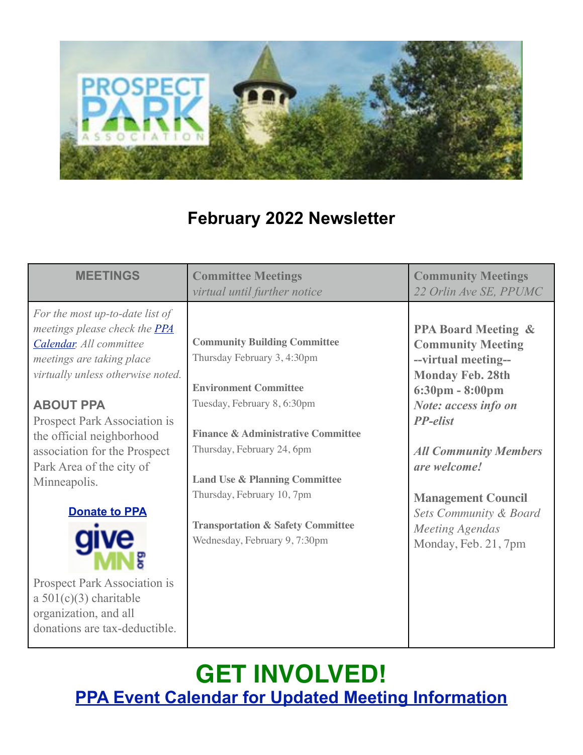

## **February 2022 Newsletter**

| <b>MEETINGS</b>                                                                                                                                                                                                                                                                                                                                                                                                                                                                 | <b>Committee Meetings</b><br>virtual until further notice                                                                                                                                                                                                                                                                                                                   | <b>Community Meetings</b><br>22 Orlin Ave SE, PPUMC                                                                                                                                                                                                                                                                                                              |
|---------------------------------------------------------------------------------------------------------------------------------------------------------------------------------------------------------------------------------------------------------------------------------------------------------------------------------------------------------------------------------------------------------------------------------------------------------------------------------|-----------------------------------------------------------------------------------------------------------------------------------------------------------------------------------------------------------------------------------------------------------------------------------------------------------------------------------------------------------------------------|------------------------------------------------------------------------------------------------------------------------------------------------------------------------------------------------------------------------------------------------------------------------------------------------------------------------------------------------------------------|
| For the most up-to-date list of<br>meetings please check the <b>PPA</b><br>Calendar. All committee<br>meetings are taking place<br>virtually unless otherwise noted.<br><b>ABOUT PPA</b><br>Prospect Park Association is<br>the official neighborhood<br>association for the Prospect<br>Park Area of the city of<br>Minneapolis.<br><b>Donate to PPA</b><br>Prospect Park Association is<br>a $501(c)(3)$ charitable<br>organization, and all<br>donations are tax-deductible. | <b>Community Building Committee</b><br>Thursday February 3, 4:30pm<br><b>Environment Committee</b><br>Tuesday, February 8, 6:30pm<br><b>Finance &amp; Administrative Committee</b><br>Thursday, February 24, 6pm<br><b>Land Use &amp; Planning Committee</b><br>Thursday, February 10, 7pm<br><b>Transportation &amp; Safety Committee</b><br>Wednesday, February 9, 7:30pm | <b>PPA Board Meeting &amp;</b><br><b>Community Meeting</b><br>--virtual meeting--<br><b>Monday Feb. 28th</b><br>$6:30 \text{pm} - 8:00 \text{pm}$<br>Note: access info on<br><b>PP-elist</b><br><b>All Community Members</b><br>are welcome!<br><b>Management Council</b><br><b>Sets Community &amp; Board</b><br><b>Meeting Agendas</b><br>Monday, Feb. 21, 7pm |

# **GET INVOLVED! [PPA Event Calendar for Updated Meeting Information](https://pperr.us7.list-manage.com/track/click?u=8a12b3152d8f70e97e090b501&id=bc6c53bb43&e=a8986a34c9)**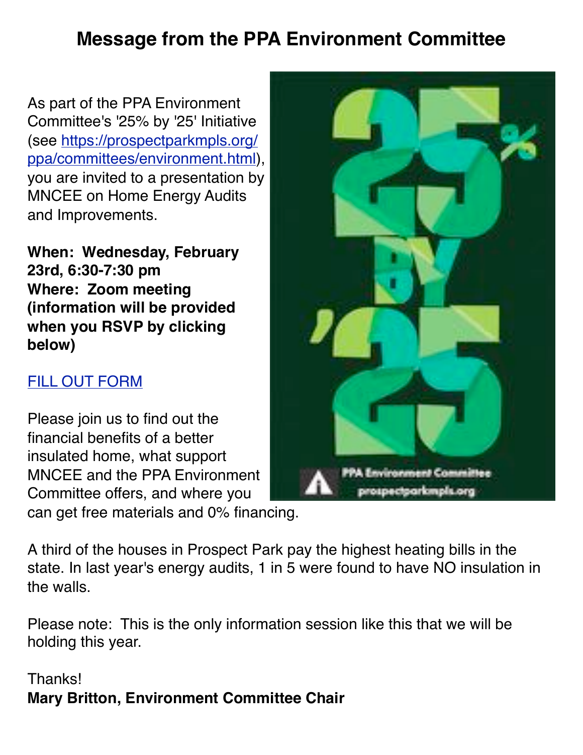## **Message from the PPA Environment Committee**

As part of the PPA Environment Committee's '25% by '25' Initiative (see [https://prospectparkmpls.org/](https://prospectparkmpls.us7.list-manage.com/track/click?u=8a12b3152d8f70e97e090b501&id=d5f9309aa0&e=511326cf8f) [ppa/committees/environment.html\)](https://prospectparkmpls.us7.list-manage.com/track/click?u=8a12b3152d8f70e97e090b501&id=d5f9309aa0&e=511326cf8f), you are invited to a presentation by MNCEE on Home Energy Audits and Improvements.

**When: Wednesday, February 23rd, 6:30-7:30 pm Where: Zoom meeting (information will be provided when you RSVP by clicking below)**

## [FILL OUT FORM](https://prospectparkmpls.us7.list-manage.com/track/click?u=8a12b3152d8f70e97e090b501&id=c9e9d91e24&e=511326cf8f)

Please join us to find out the financial benefits of a better insulated home, what support MNCEE and the PPA Environment Committee offers, and where you can get free materials and 0% financing.



A third of the houses in Prospect Park pay the highest heating bills in the state. In last year's energy audits, 1 in 5 were found to have NO insulation in the walls.

Please note: This is the only information session like this that we will be holding this year.

**Thanks! Mary Britton, Environment Committee Chair**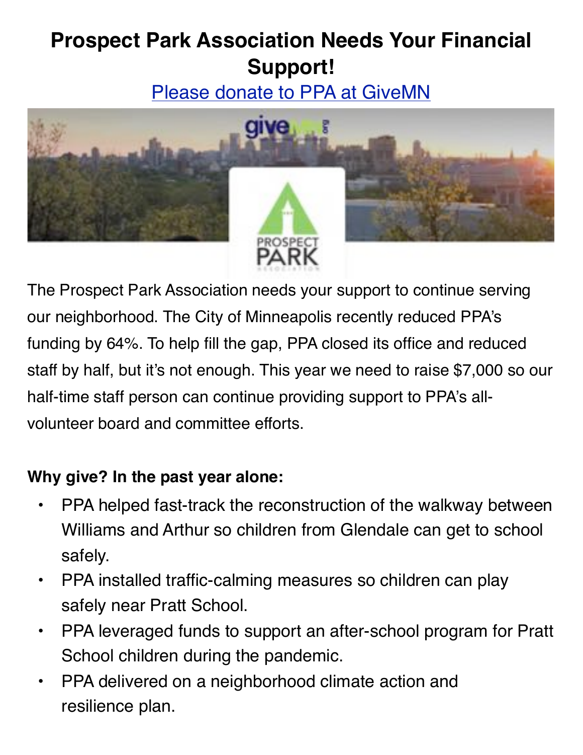# **Prospect Park Association Needs Your Financial Support!**

[Please donate to PPA at GiveMN](https://prospectparkmpls.us7.list-manage.com/track/click?u=8a12b3152d8f70e97e090b501&id=ddcd0699f4&e=511326cf8f)



The Prospect Park Association needs your support to continue serving our neighborhood. The City of Minneapolis recently reduced PPA's funding by 64%. To help fill the gap, PPA closed its office and reduced staff by half, but it's not enough. This year we need to raise \$7,000 so our half-time staff person can continue providing support to PPA's allvolunteer board and committee efforts.

## **Why give? In the past year alone:**

- PPA helped fast-track the reconstruction of the walkway between Williams and Arthur so children from Glendale can get to school safely.
- PPA installed traffic-calming measures so children can play safely near Pratt School.
- PPA leveraged funds to support an after-school program for Pratt School children during the pandemic.
- PPA delivered on a neighborhood climate action and resilience plan.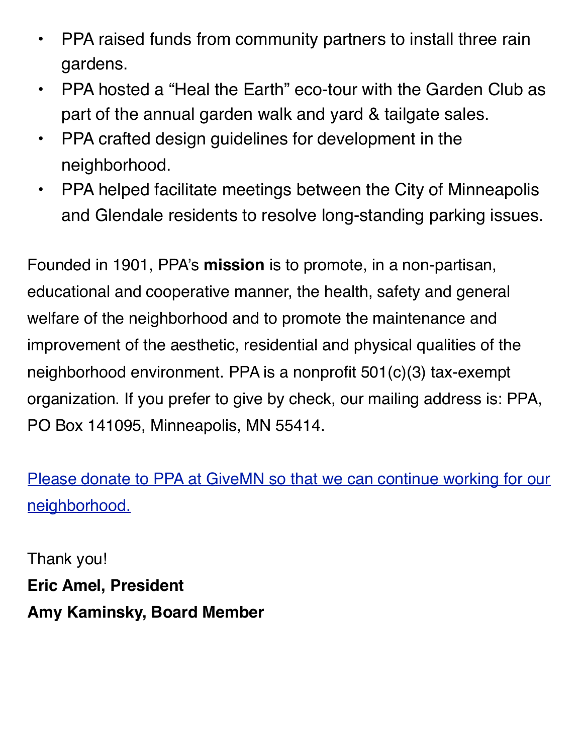- PPA raised funds from community partners to install three rain gardens.
- PPA hosted a "Heal the Earth" eco-tour with the Garden Club as part of the annual garden walk and yard & tailgate sales.
- PPA crafted design guidelines for development in the neighborhood.
- PPA helped facilitate meetings between the City of Minneapolis and Glendale residents to resolve long-standing parking issues.

Founded in 1901, PPA's **mission** is to promote, in a non-partisan, educational and cooperative manner, the health, safety and general welfare of the neighborhood and to promote the maintenance and improvement of the aesthetic, residential and physical qualities of the neighborhood environment. PPA is a nonprofit 501(c)(3) tax-exempt organization. If you prefer to give by check, our mailing address is: PPA, PO Box 141095, Minneapolis, MN 55414.

[Please donate to PPA at GiveMN so that we can continue working for our](https://prospectparkmpls.us7.list-manage.com/track/click?u=8a12b3152d8f70e97e090b501&id=d1907ffa1e&e=511326cf8f)  [neighborhood.](https://prospectparkmpls.us7.list-manage.com/track/click?u=8a12b3152d8f70e97e090b501&id=d1907ffa1e&e=511326cf8f)

Thank you! **Eric Amel, President Amy Kaminsky, Board Member**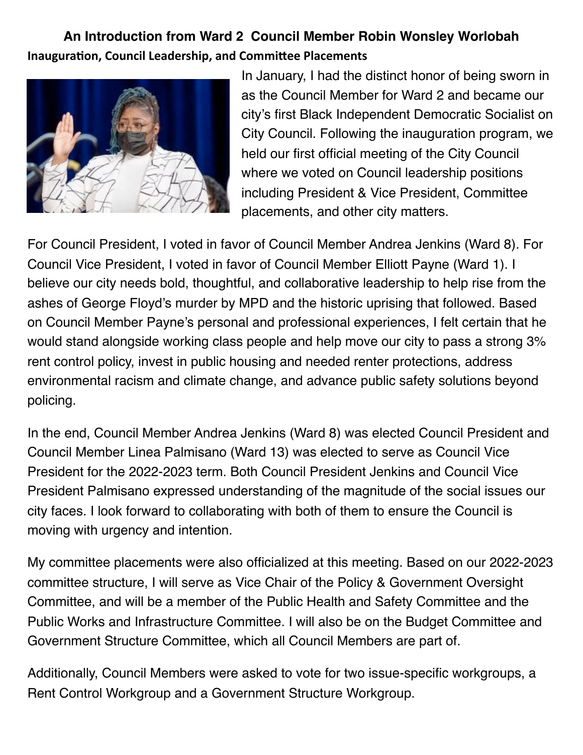## **An Introduction from Ward 2 Council Member Robin Wonsley Worlobah Inauguration, Council Leadership, and Committee Placements**



In January, I had the distinct honor of being sworn in as the Council Member for Ward 2 and became our city's first Black Independent Democratic Socialist on City Council. Following the inauguration program, we held our first official meeting of the City Council where we voted on Council leadership positions including President & Vice President, Committee placements, and other city matters.

For Council President, I voted in favor of Council Member Andrea Jenkins (Ward 8). For Council Vice President, I voted in favor of Council Member Elliott Payne (Ward 1). I believe our city needs bold, thoughtful, and collaborative leadership to help rise from the ashes of George Floyd's murder by MPD and the historic uprising that followed. Based on Council Member Payne's personal and professional experiences, I felt certain that he would stand alongside working class people and help move our city to pass a strong 3% rent control policy, invest in public housing and needed renter protections, address environmental racism and climate change, and advance public safety solutions beyond policing.

In the end, Council Member Andrea Jenkins (Ward 8) was elected Council President and Council Member Linea Palmisano (Ward 13) was elected to serve as Council Vice President for the 2022-2023 term. Both Council President Jenkins and Council Vice President Palmisano expressed understanding of the magnitude of the social issues our city faces. I look forward to collaborating with both of them to ensure the Council is moving with urgency and intention.

My committee placements were also officialized at this meeting. Based on our 2022-2023 committee structure, I will serve as Vice Chair of the Policy & Government Oversight Committee, and will be a member of the Public Health and Safety Committee and the Public Works and Infrastructure Committee. I will also be on the Budget Committee and Government Structure Committee, which all Council Members are part of.

Additionally, Council Members were asked to vote for two issue-specific workgroups, a Rent Control Workgroup and a Government Structure Workgroup.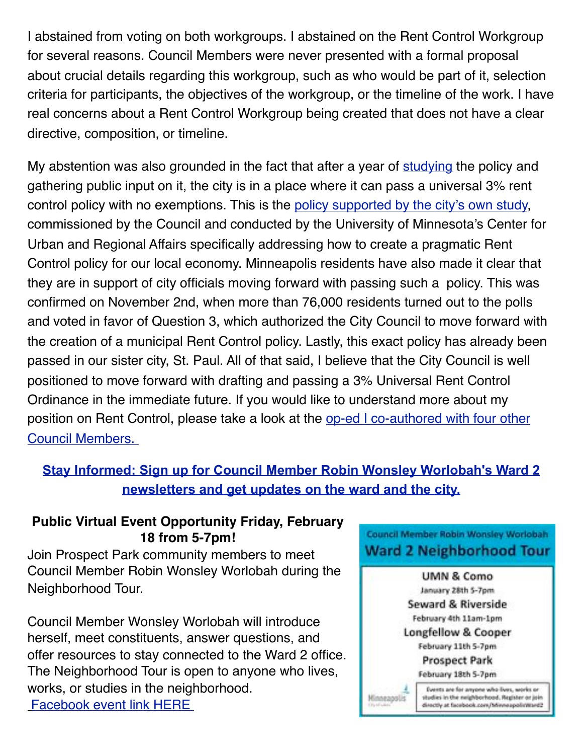I abstained from voting on both workgroups. I abstained on the Rent Control Workgroup for several reasons. Council Members were never presented with a formal proposal about crucial details regarding this workgroup, such as who would be part of it, selection criteria for participants, the objectives of the workgroup, or the timeline of the work. I have real concerns about a Rent Control Workgroup being created that does not have a clear directive, composition, or timeline.

My abstention was also grounded in the fact that after a year of [studying](https://prospectparkmpls.us7.list-manage.com/track/click?u=8a12b3152d8f70e97e090b501&id=ab74bd624a&e=511326cf8f) the policy and gathering public input on it, the city is in a place where it can pass a universal 3% rent control policy with no exemptions. This is the [policy supported by the city's own study](https://prospectparkmpls.us7.list-manage.com/track/click?u=8a12b3152d8f70e97e090b501&id=1e7ec5bfd8&e=511326cf8f), commissioned by the Council and conducted by the University of Minnesota's Center for Urban and Regional Affairs specifically addressing how to create a pragmatic Rent Control policy for our local economy. Minneapolis residents have also made it clear that they are in support of city officials moving forward with passing such a policy. This was confirmed on November 2nd, when more than 76,000 residents turned out to the polls and voted in favor of Question 3, which authorized the City Council to move forward with the creation of a municipal Rent Control policy. Lastly, this exact policy has already been passed in our sister city, St. Paul. All of that said, I believe that the City Council is well positioned to move forward with drafting and passing a 3% Universal Rent Control Ordinance in the immediate future. If you would like to understand more about my position on Rent Control, please take a look at the [op-ed I co-authored with four other](https://prospectparkmpls.us7.list-manage.com/track/click?u=8a12b3152d8f70e97e090b501&id=83cb77be22&e=511326cf8f)  [Council Members.](https://prospectparkmpls.us7.list-manage.com/track/click?u=8a12b3152d8f70e97e090b501&id=83cb77be22&e=511326cf8f)

#### **[Stay Informed: Sign up for Council Member Robin Wonsley Worlobah's Ward 2](https://prospectparkmpls.us7.list-manage.com/track/click?u=8a12b3152d8f70e97e090b501&id=ca32d0bb26&e=511326cf8f)  [newsletters and get updates on the ward and the city.](https://prospectparkmpls.us7.list-manage.com/track/click?u=8a12b3152d8f70e97e090b501&id=ca32d0bb26&e=511326cf8f)**

#### **Public Virtual Event Opportunity Friday, February 18 from 5-7pm!**

Join Prospect Park community members to meet Council Member Robin Wonsley Worlobah during the Neighborhood Tour.

Council Member Wonsley Worlobah will introduce herself, meet constituents, answer questions, and offer resources to stay connected to the Ward 2 office. The Neighborhood Tour is open to anyone who lives, works, or studies in the neighborhood. [Facebook event link HERE](https://prospectparkmpls.us7.list-manage.com/track/click?u=8a12b3152d8f70e97e090b501&id=37ee1d42b6&e=511326cf8f)



February 4th 11am-1pm Longfellow & Cooper February 11th 5-7pm **Prospect Park** 

February 18th 5-7pm

Events are for anyone who lives, works or studies in the neighborhood. Register or join directly at facebook.com/MinneapolisWard2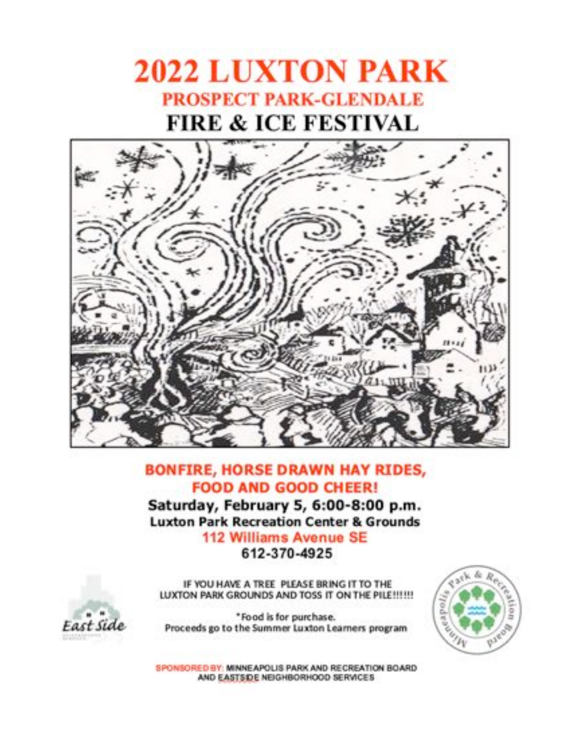



#### **BONFIRE, HORSE DRAWN HAY RIDES, FOOD AND GOOD CHEER!**

Saturday, February 5, 6:00-8:00 p.m. **Luxton Park Recreation Center & Grounds** 

112 Williams Avenue SE 612-370-4925

IF YOU HAVE A TREE PLEASE BRING IT TO THE LUXTON PARK GROUNDS AND TOSS IT ON THE PILE !!!!!!



\*Food is for purchase. Proceeds go to the Summer Luxton Learners program



SPONSORED BY: MINNEAPOLIS PARK AND RECREATION BOARD AND EASTSIDE NEIGHBORHOOD SERVICES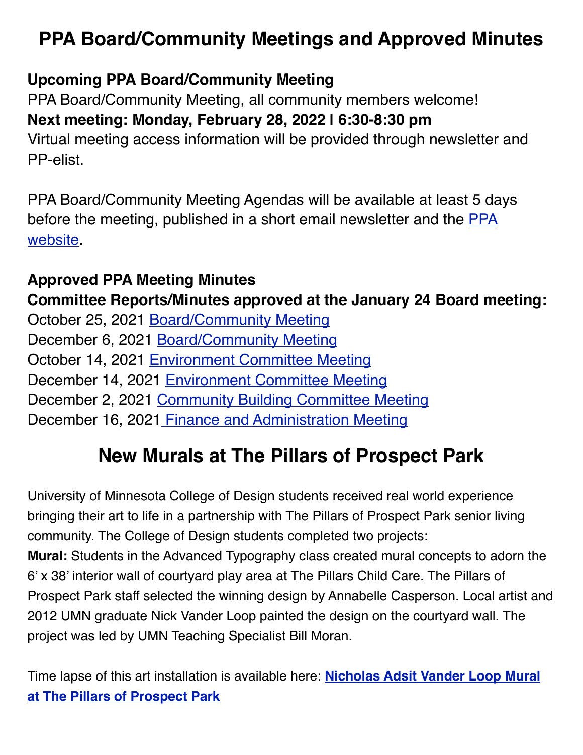## **PPA Board/Community Meetings and Approved Minutes**

## **Upcoming PPA Board/Community Meeting**

PPA Board/Community Meeting, all community members welcome! **Next meeting: Monday, February 28, 2022 | 6:30-8:30 pm** Virtual meeting access information will be provided through newsletter and PP-elist.

PPA Board/Community Meeting Agendas will be available at least 5 days before the meeting, published in a short email newsletter and the [PPA](https://prospectparkmpls.us7.list-manage.com/track/click?u=8a12b3152d8f70e97e090b501&id=5940d775f3&e=511326cf8f)  [website](https://prospectparkmpls.us7.list-manage.com/track/click?u=8a12b3152d8f70e97e090b501&id=5940d775f3&e=511326cf8f).

**Approved PPA Meeting Minutes Committee Reports/Minutes approved at the January 24 Board meeting:** October 25, 2021 [Board/Community Meeting](https://prospectparkmpls.us7.list-manage.com/track/click?u=8a12b3152d8f70e97e090b501&id=1746d60221&e=511326cf8f) December 6, 2021 [Board/Community Meeting](https://prospectparkmpls.us7.list-manage.com/track/click?u=8a12b3152d8f70e97e090b501&id=1511c5adc5&e=511326cf8f) October 14, 2021 [Environment Committee](https://prospectparkmpls.us7.list-manage.com/track/click?u=8a12b3152d8f70e97e090b501&id=8b4dfb2260&e=511326cf8f) Meeting December 14, 2021 [Environment Committee](https://prospectparkmpls.us7.list-manage.com/track/click?u=8a12b3152d8f70e97e090b501&id=f12d1cd8d1&e=511326cf8f) Meeting December 2, 2021 [Community Building Committee M](https://prospectparkmpls.us7.list-manage.com/track/click?u=8a12b3152d8f70e97e090b501&id=8df25bf33c&e=511326cf8f)[eeting](https://prospectparkmpls.us7.list-manage.com/track/click?u=8a12b3152d8f70e97e090b501&id=3ff3091b11&e=511326cf8f) December [1](https://prospectparkmpls.us7.list-manage.com/track/click?u=8a12b3152d8f70e97e090b501&id=66483ca274&e=511326cf8f)6, 2021 [Finance and Administration](https://prospectparkmpls.us7.list-manage.com/track/click?u=8a12b3152d8f70e97e090b501&id=ec29e05fb0&e=511326cf8f) Meeting

# **New Murals at The Pillars of Prospect Park**

University of Minnesota College of Design students received real world experience bringing their art to life in a partnership with The Pillars of Prospect Park senior living community. The College of Design students completed two projects:

**Mural:** Students in the Advanced Typography class created mural concepts to adorn the 6' x 38' interior wall of courtyard play area at The Pillars Child Care. The Pillars of Prospect Park staff selected the winning design by Annabelle Casperson. Local artist and 2012 UMN graduate Nick Vander Loop painted the design on the courtyard wall. The project was led by UMN Teaching Specialist Bill Moran.

Time lapse of this art installation is available here: **[Nicholas Adsit Vander Loop Mural](https://prospectparkmpls.us7.list-manage.com/track/click?u=8a12b3152d8f70e97e090b501&id=674cf9d96d&e=511326cf8f)  [at The Pillars of Prospect Park](https://prospectparkmpls.us7.list-manage.com/track/click?u=8a12b3152d8f70e97e090b501&id=674cf9d96d&e=511326cf8f)**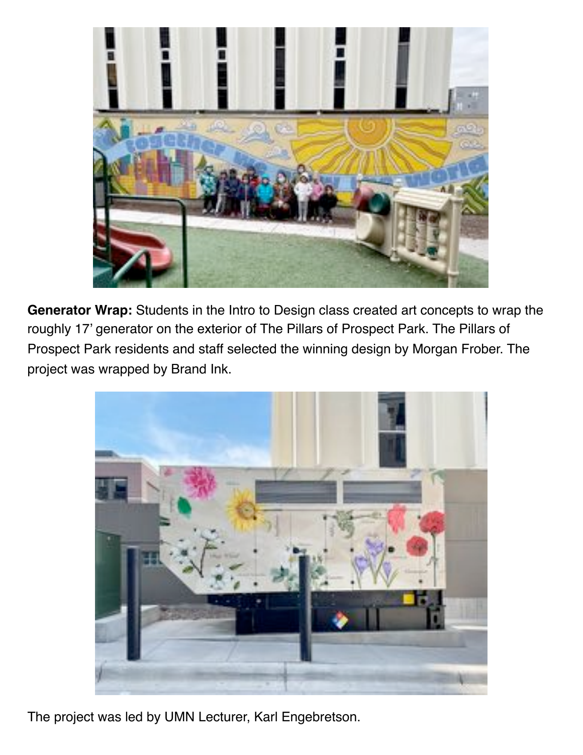

**Generator Wrap:** Students in the Intro to Design class created art concepts to wrap the roughly 17' generator on the exterior of The Pillars of Prospect Park. The Pillars of Prospect Park residents and staff selected the winning design by Morgan Frober. The project was wrapped by Brand Ink.



The project was led by UMN Lecturer, Karl Engebretson.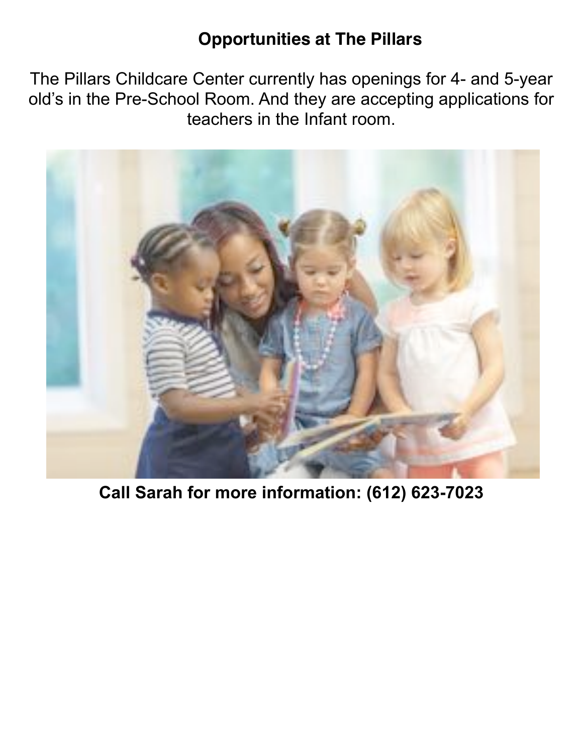## **Opportunities at The Pillars**

The Pillars Childcare Center currently has openings for 4- and 5-year old's in the Pre-School Room. And they are accepting applications for teachers in the Infant room.



**Call Sarah for more information: (612) 623-7023**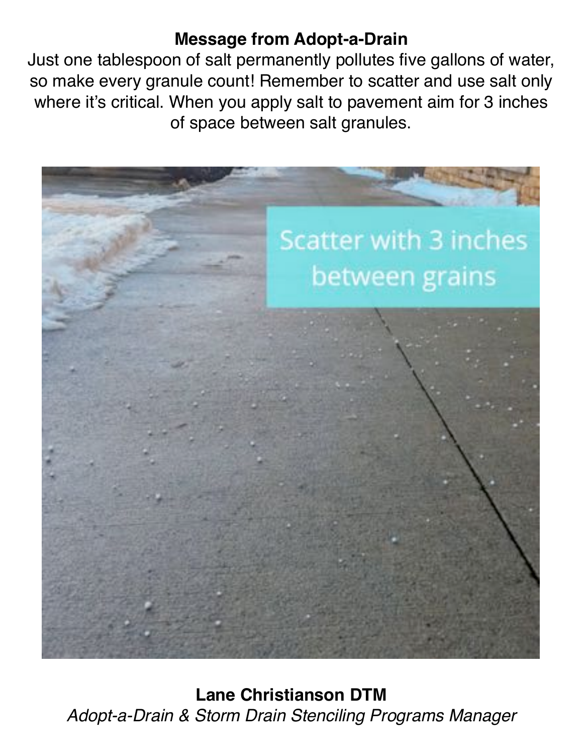## **Message from Adopt-a-Drain**

Just one tablespoon of salt permanently pollutes five gallons of water, so make every granule count! Remember to scatter and use salt only where it's critical. When you apply salt to pavement aim for 3 inches of space between salt granules.



**Lane Christianson DTM** *Adopt-a-Drain & Storm Drain Stenciling Programs Manager*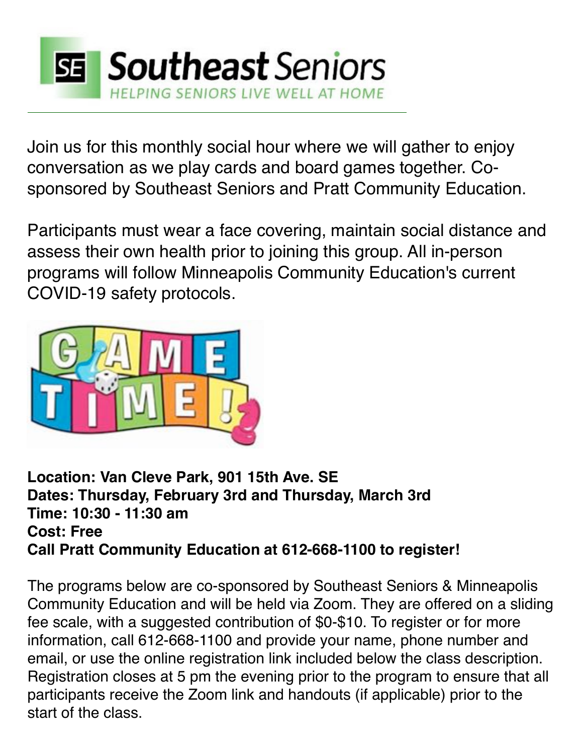

Join us for this monthly social hour where we will gather to enjoy conversation as we play cards and board games together. Cosponsored by Southeast Seniors and Pratt Community Education.

Participants must wear a face covering, maintain social distance and assess their own health prior to joining this group. All in-person programs will follow Minneapolis Community Education's current COVID-19 safety protocols.



## **Location: Van Cleve Park, 901 15th Ave. SE Dates: Thursday, February 3rd and Thursday, March 3rd Time: 10:30 - 11:30 am Cost: Free Call Pratt Community Education at 612-668-1100 to register!**

The programs below are co-sponsored by Southeast Seniors & Minneapolis Community Education and will be held via Zoom. They are offered on a sliding fee scale, with a suggested contribution of \$0-\$10. To register or for more information, call 612-668-1100 and provide your name, phone number and email, or use the online registration link included below the class description. Registration closes at 5 pm the evening prior to the program to ensure that all participants receive the Zoom link and handouts (if applicable) prior to the start of the class.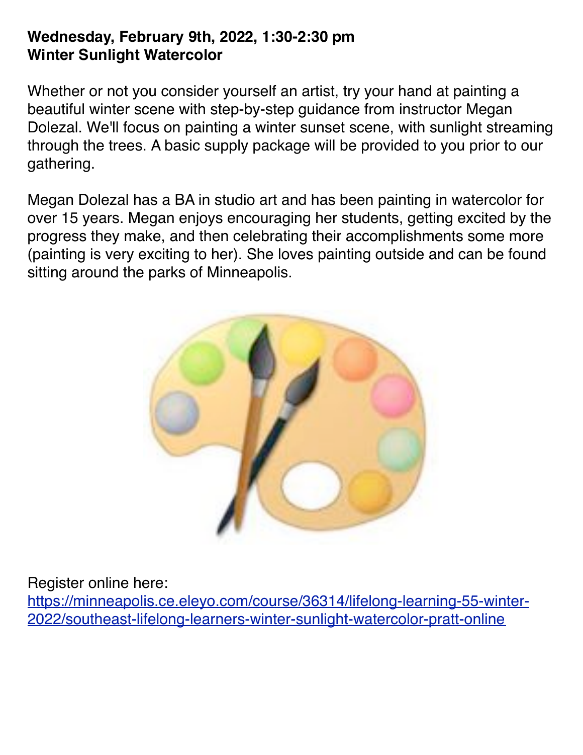#### **Wednesday, February 9th, 2022, 1:30-2:30 pm Winter Sunlight Watercolor**

Whether or not you consider yourself an artist, try your hand at painting a beautiful winter scene with step-by-step guidance from instructor Megan Dolezal. We'll focus on painting a winter sunset scene, with sunlight streaming through the trees. A basic supply package will be provided to you prior to our gathering.

Megan Dolezal has a BA in studio art and has been painting in watercolor for over 15 years. Megan enjoys encouraging her students, getting excited by the progress they make, and then celebrating their accomplishments some more (painting is very exciting to her). She loves painting outside and can be found sitting around the parks of Minneapolis.



Register online here:

[https://minneapolis.ce.eleyo.com/course/36314/lifelong-learning-55-winter-](https://prospectparkmpls.us7.list-manage.com/track/click?u=8a12b3152d8f70e97e090b501&id=43d6b020e2&e=511326cf8f)[2022/southeast-lifelong-learners-winter-sunlight-watercolor-pratt-online](https://prospectparkmpls.us7.list-manage.com/track/click?u=8a12b3152d8f70e97e090b501&id=43d6b020e2&e=511326cf8f)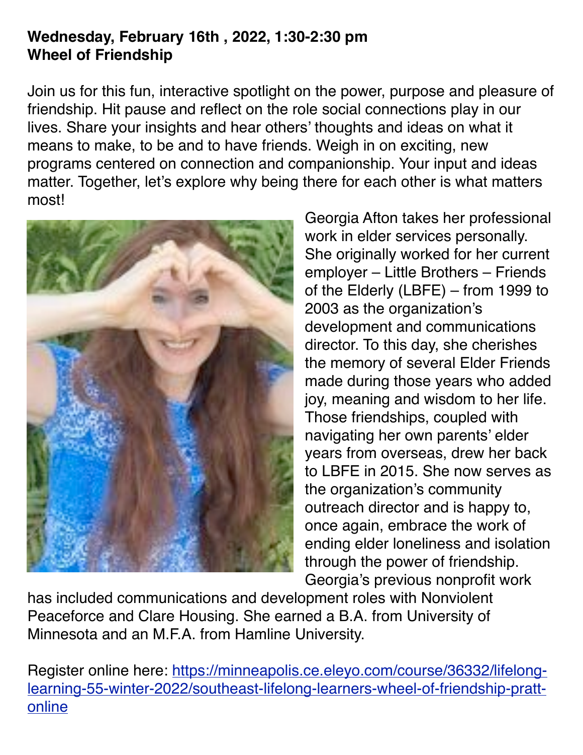## **Wednesday, February 16th , 2022, 1:30-2:30 pm Wheel of Friendship**

Join us for this fun, interactive spotlight on the power, purpose and pleasure of friendship. Hit pause and reflect on the role social connections play in our lives. Share your insights and hear others' thoughts and ideas on what it means to make, to be and to have friends. Weigh in on exciting, new programs centered on connection and companionship. Your input and ideas matter. Together, let's explore why being there for each other is what matters most!



Georgia Afton takes her professional work in elder services personally. She originally worked for her current employer – Little Brothers – Friends of the Elderly (LBFE) – from 1999 to 2003 as the organization's development and communications director. To this day, she cherishes the memory of several Elder Friends made during those years who added joy, meaning and wisdom to her life. Those friendships, coupled with navigating her own parents' elder years from overseas, drew her back to LBFE in 2015. She now serves as the organization's community outreach director and is happy to, once again, embrace the work of ending elder loneliness and isolation through the power of friendship. Georgia's previous nonprofit work

has included communications and development roles with Nonviolent Peaceforce and Clare Housing. She earned a B.A. from University of Minnesota and an M.F.A. from Hamline University.

Register online here: [https://minneapolis.ce.eleyo.com/course/36332/lifelong](https://prospectparkmpls.us7.list-manage.com/track/click?u=8a12b3152d8f70e97e090b501&id=1a00b98c43&e=511326cf8f)[learning-55-winter-2022/southeast-lifelong-learners-wheel-of-friendship-pratt](https://prospectparkmpls.us7.list-manage.com/track/click?u=8a12b3152d8f70e97e090b501&id=1a00b98c43&e=511326cf8f)[online](https://prospectparkmpls.us7.list-manage.com/track/click?u=8a12b3152d8f70e97e090b501&id=1a00b98c43&e=511326cf8f)